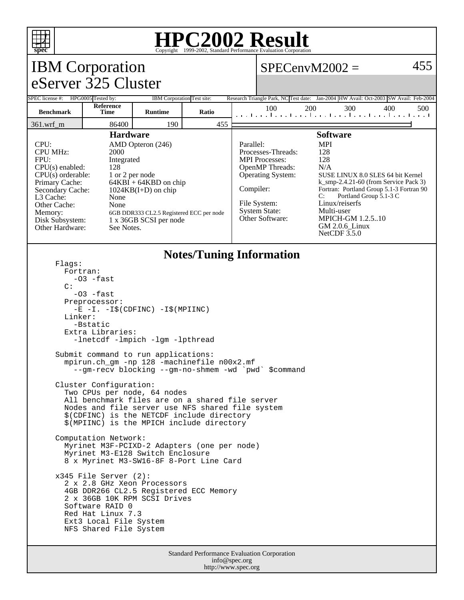

## **HPC2002 Result**

| <b>IBM</b> Corporation                                                                                                                                                                                                                                                                                                                                                                                                                        |                   |                            |       |           | $SPECenvM2002 =$                                                                                                                                                                                                                                                                                                                                                                                                                                                                     |     |     |     | 455 |
|-----------------------------------------------------------------------------------------------------------------------------------------------------------------------------------------------------------------------------------------------------------------------------------------------------------------------------------------------------------------------------------------------------------------------------------------------|-------------------|----------------------------|-------|-----------|--------------------------------------------------------------------------------------------------------------------------------------------------------------------------------------------------------------------------------------------------------------------------------------------------------------------------------------------------------------------------------------------------------------------------------------------------------------------------------------|-----|-----|-----|-----|
| eServer 325 Cluster                                                                                                                                                                                                                                                                                                                                                                                                                           |                   |                            |       |           |                                                                                                                                                                                                                                                                                                                                                                                                                                                                                      |     |     |     |     |
| SPEC license #: HPG0005 Tested by:                                                                                                                                                                                                                                                                                                                                                                                                            |                   | IBM Corporation Test site: |       |           | Research Triangle Park, NC Test date: Jan-2004 HW Avail: Oct-2003 SW Avail: Feb-2004                                                                                                                                                                                                                                                                                                                                                                                                 |     |     |     |     |
| <b>Benchmark</b>                                                                                                                                                                                                                                                                                                                                                                                                                              | Reference<br>Time | <b>Runtime</b>             | Ratio |           | 100<br>المتحاجين المتحاجين المتحاجين المتحاجين المتحا                                                                                                                                                                                                                                                                                                                                                                                                                                | 200 | 300 | 400 | 500 |
| 86400<br>190<br>455<br>361.wrf_m                                                                                                                                                                                                                                                                                                                                                                                                              |                   |                            |       |           |                                                                                                                                                                                                                                                                                                                                                                                                                                                                                      |     |     |     |     |
| <b>Hardware</b><br>CPU:<br>AMD Opteron (246)<br><b>CPU MHz:</b><br>2000<br>FPU:<br>Integrated<br>CPU(s) enabled:<br>128<br>$CPU(s)$ orderable:<br>1 or 2 per node<br>Primary Cache:<br>$64KBI + 64KBD$ on chip<br>$1024KB(I+D)$ on chip<br>Secondary Cache:<br>L3 Cache:<br>None<br>None<br>Other Cache:<br>Memory:<br>6GB DDR333 CL2.5 Registered ECC per node<br>1 x 36GB SCSI per node<br>Disk Subsystem:<br>Other Hardware:<br>See Notes. |                   |                            |       | Parallel: | <b>Software</b><br><b>MPI</b><br>128<br>Processes-Threads:<br><b>MPI</b> Processes:<br>128<br>OpenMP Threads:<br>N/A<br><b>Operating System:</b><br>SUSE LINUX 8.0 SLES 64 bit Kernel<br>$k$ _smp-2.4.21-60 (from Service Pack 3)<br>Compiler:<br>Fortran: Portland Group 5.1-3 Fortran 90<br>Portland Group 5.1-3 C<br>C:<br>Linux/reiserfs<br>File System:<br>Multi-user<br><b>System State:</b><br>Other Software:<br><b>MPICH-GM 1.2.510</b><br>GM 2.0.6_Linux<br>NetCDF $3.5.0$ |     |     |     |     |
| <b>Notes/Tuning Information</b><br>Flaqs:<br>Fortran:<br>-03 -fast<br>$\mathcal{C}$ :<br>$-03$ -fast<br>Preprocessor:<br>$-E$ $-I. -I\$ (CDFINC) $-I\$ (MPIINC)<br>Linker:<br>-Bstatic<br>Extra Libraries:                                                                                                                                                                                                                                    |                   |                            |       |           |                                                                                                                                                                                                                                                                                                                                                                                                                                                                                      |     |     |     |     |
| -lnetcdf -lmpich -lgm -lpthread<br>Submit command to run applications:<br>mpirun.ch_gm -np 128 -machinefile n00x2.mf<br>--gm-recv blocking --gm-no-shmem -wd `pwd`<br>Scommand                                                                                                                                                                                                                                                                |                   |                            |       |           |                                                                                                                                                                                                                                                                                                                                                                                                                                                                                      |     |     |     |     |
| Cluster Configuration:<br>Two CPUs per node, 64 nodes<br>All benchmark files are on a shared file server<br>Nodes and file server use NFS shared file system<br>\$(CDFINC) is the NETCDF include directory<br>\$(MPIINC) is the MPICH include directory<br>Computation Network:                                                                                                                                                               |                   |                            |       |           |                                                                                                                                                                                                                                                                                                                                                                                                                                                                                      |     |     |     |     |
| Myrinet M3F-PCIXD-2 Adapters (one per node)<br>Myrinet M3-E128 Switch Enclosure<br>8 x Myrinet M3-SW16-8F 8-Port Line Card                                                                                                                                                                                                                                                                                                                    |                   |                            |       |           |                                                                                                                                                                                                                                                                                                                                                                                                                                                                                      |     |     |     |     |
| $x345$ File Server (2):<br>2 x 2.8 GHz Xeon Processors<br>4GB DDR266 CL2.5 Registered ECC Memory<br>2 x 36GB 10K RPM SCSI Drives<br>Software RAID 0<br>Red Hat Linux 7.3<br>Ext3 Local File System<br>NFS Shared File System                                                                                                                                                                                                                  |                   |                            |       |           |                                                                                                                                                                                                                                                                                                                                                                                                                                                                                      |     |     |     |     |
| Standard Performance Evaluation Corporation                                                                                                                                                                                                                                                                                                                                                                                                   |                   |                            |       |           |                                                                                                                                                                                                                                                                                                                                                                                                                                                                                      |     |     |     |     |

info@spec.org http://www.spec.org